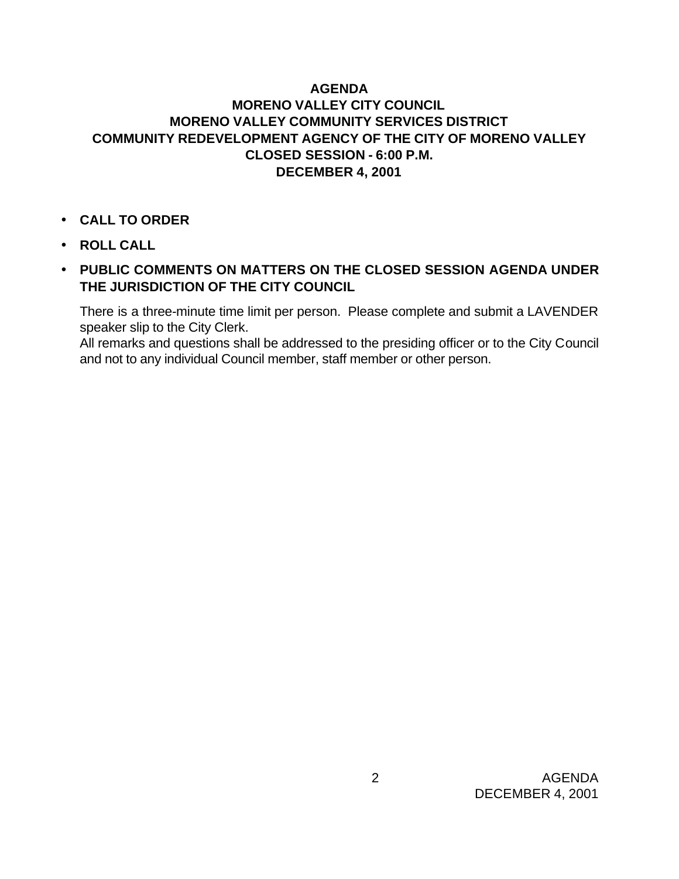## **AGENDA MORENO VALLEY CITY COUNCIL MORENO VALLEY COMMUNITY SERVICES DISTRICT COMMUNITY REDEVELOPMENT AGENCY OF THE CITY OF MORENO VALLEY CLOSED SESSION - 6:00 P.M. DECEMBER 4, 2001**

- **CALL TO ORDER**
- **ROLL CALL**
- **PUBLIC COMMENTS ON MATTERS ON THE CLOSED SESSION AGENDA UNDER THE JURISDICTION OF THE CITY COUNCIL**

There is a three-minute time limit per person. Please complete and submit a LAVENDER speaker slip to the City Clerk.

All remarks and questions shall be addressed to the presiding officer or to the City Council and not to any individual Council member, staff member or other person.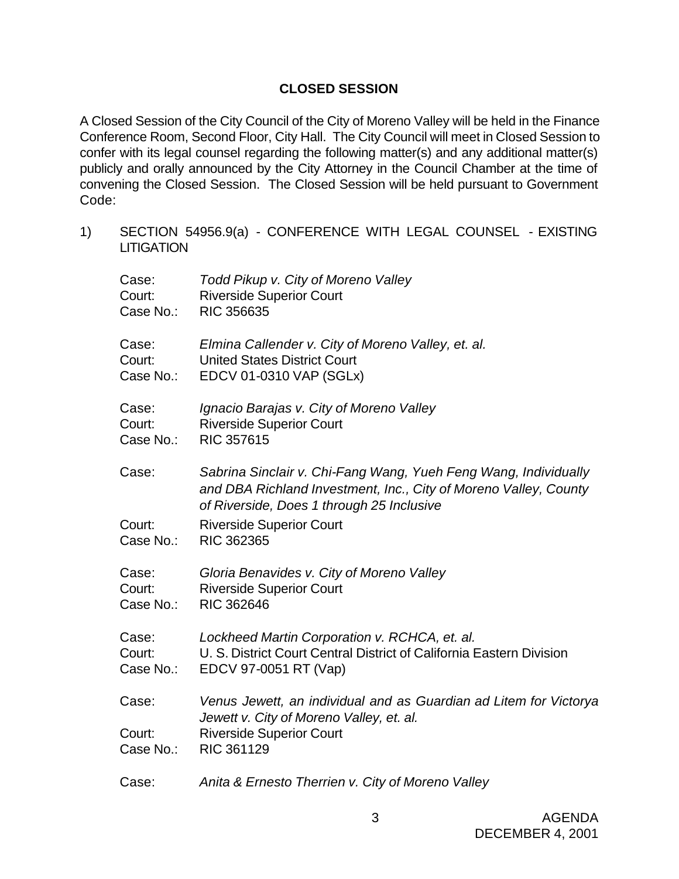## **CLOSED SESSION**

A Closed Session of the City Council of the City of Moreno Valley will be held in the Finance Conference Room, Second Floor, City Hall. The City Council will meet in Closed Session to confer with its legal counsel regarding the following matter(s) and any additional matter(s) publicly and orally announced by the City Attorney in the Council Chamber at the time of convening the Closed Session. The Closed Session will be held pursuant to Government Code:

1) SECTION 54956.9(a) - CONFERENCE WITH LEGAL COUNSEL - EXISTING **LITIGATION** 

| Case:               | Todd Pikup v. City of Moreno Valley                                                                                                                                              |
|---------------------|----------------------------------------------------------------------------------------------------------------------------------------------------------------------------------|
| Court:              | <b>Riverside Superior Court</b>                                                                                                                                                  |
| Case No.:           | <b>RIC 356635</b>                                                                                                                                                                |
| Case:               | Elmina Callender v. City of Moreno Valley, et. al.                                                                                                                               |
| Court:              | <b>United States District Court</b>                                                                                                                                              |
| Case No.:           | EDCV 01-0310 VAP (SGLx)                                                                                                                                                          |
| Case:               | Ignacio Barajas v. City of Moreno Valley                                                                                                                                         |
| Court:              | <b>Riverside Superior Court</b>                                                                                                                                                  |
| Case No.:           | <b>RIC 357615</b>                                                                                                                                                                |
| Case:               | Sabrina Sinclair v. Chi-Fang Wang, Yueh Feng Wang, Individually<br>and DBA Richland Investment, Inc., City of Moreno Valley, County<br>of Riverside, Does 1 through 25 Inclusive |
| Court:              | <b>Riverside Superior Court</b>                                                                                                                                                  |
| Case No.:           | RIC 362365                                                                                                                                                                       |
| Case:               | Gloria Benavides v. City of Moreno Valley                                                                                                                                        |
| Court:              | <b>Riverside Superior Court</b>                                                                                                                                                  |
| Case No.:           | <b>RIC 362646</b>                                                                                                                                                                |
| Case:               | Lockheed Martin Corporation v. RCHCA, et. al.                                                                                                                                    |
| Court:              | U. S. District Court Central District of California Eastern Division                                                                                                             |
| Case No.:           | EDCV 97-0051 RT (Vap)                                                                                                                                                            |
| Case:               | Venus Jewett, an individual and as Guardian ad Litem for Victorya                                                                                                                |
| Court:<br>Case No.: | Jewett v. City of Moreno Valley, et. al.<br><b>Riverside Superior Court</b><br>RIC 361129                                                                                        |
| Case:               | Anita & Ernesto Therrien v. City of Moreno Valley                                                                                                                                |